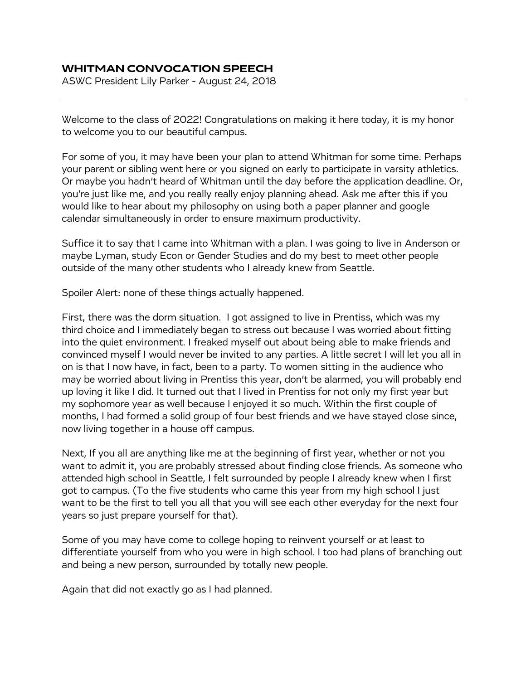## **WHITMAN CONVOCATION SPEECH**

ASWC President Lily Parker - August 24, 2018

Welcome to the class of 2022! Congratulations on making it here today, it is my honor to welcome you to our beautiful campus.

For some of you, it may have been your plan to attend Whitman for some time. Perhaps your parent or sibling went here or you signed on early to participate in varsity athletics. Or maybe you hadn't heard of Whitman until the day before the application deadline. Or, you're just like me, and you really really enjoy planning ahead. Ask me after this if you would like to hear about my philosophy on using both a paper planner and google calendar simultaneously in order to ensure maximum productivity.

Suffice it to say that I came into Whitman with a plan. I was going to live in Anderson or maybe Lyman, study Econ or Gender Studies and do my best to meet other people outside of the many other students who I already knew from Seattle.

Spoiler Alert: none of these things actually happened.

First, there was the dorm situation. I got assigned to live in Prentiss, which was my third choice and I immediately began to stress out because I was worried about fitting into the quiet environment. I freaked myself out about being able to make friends and convinced myself I would never be invited to any parties. A little secret I will let you all in on is that I now have, in fact, been to a party. To women sitting in the audience who may be worried about living in Prentiss this year, don't be alarmed, you will probably end up loving it like I did. It turned out that I lived in Prentiss for not only my first year but my sophomore year as well because I enjoyed it so much. Within the first couple of months, I had formed a solid group of four best friends and we have stayed close since, now living together in a house off campus.

Next, If you all are anything like me at the beginning of first year, whether or not you want to admit it, you are probably stressed about finding close friends. As someone who attended high school in Seattle, I felt surrounded by people I already knew when I first got to campus. (To the five students who came this year from my high school I just want to be the first to tell you all that you will see each other everyday for the next four years so just prepare yourself for that).

Some of you may have come to college hoping to reinvent yourself or at least to differentiate yourself from who you were in high school. I too had plans of branching out and being a new person, surrounded by totally new people.

Again that did not exactly go as I had planned.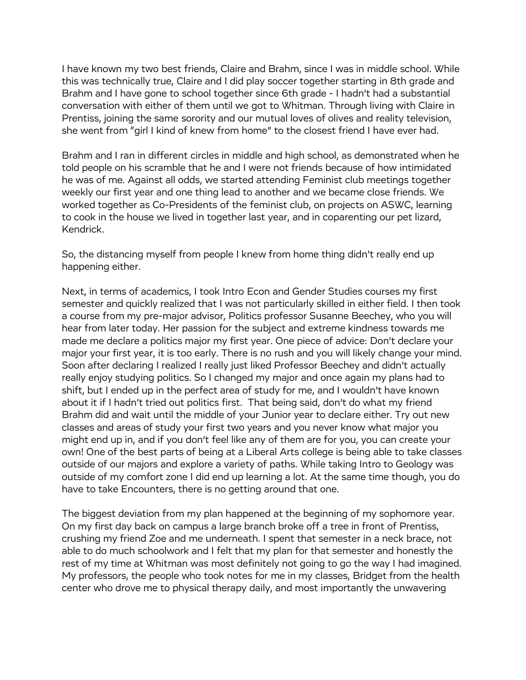I have known my two best friends, Claire and Brahm, since I was in middle school. While this was technically true, Claire and I did play soccer together starting in 8th grade and Brahm and I have gone to school together since 6th grade - I hadn't had a substantial conversation with either of them until we got to Whitman. Through living with Claire in Prentiss, joining the same sorority and our mutual loves of olives and reality television, she went from "girl I kind of knew from home" to the closest friend I have ever had.

Brahm and I ran in different circles in middle and high school, as demonstrated when he told people on his scramble that he and I were not friends because of how intimidated he was of me. Against all odds, we started attending Feminist club meetings together weekly our first year and one thing lead to another and we became close friends. We worked together as Co-Presidents of the feminist club, on projects on ASWC, learning to cook in the house we lived in together last year, and in coparenting our pet lizard, Kendrick.

So, the distancing myself from people I knew from home thing didn't really end up happening either.

Next, in terms of academics, I took Intro Econ and Gender Studies courses my first semester and quickly realized that I was not particularly skilled in either field. I then took a course from my pre-major advisor, Politics professor Susanne Beechey, who you will hear from later today. Her passion for the subject and extreme kindness towards me made me declare a politics major my first year. One piece of advice: Don't declare your major your first year, it is too early. There is no rush and you will likely change your mind. Soon after declaring I realized I really just liked Professor Beechey and didn't actually really enjoy studying politics. So I changed my major and once again my plans had to shift, but I ended up in the perfect area of study for me, and I wouldn't have known about it if I hadn't tried out politics first. That being said, don't do what my friend Brahm did and wait until the middle of your Junior year to declare either. Try out new classes and areas of study your first two years and you never know what major you might end up in, and if you don't feel like any of them are for you, you can create your own! One of the best parts of being at a Liberal Arts college is being able to take classes outside of our majors and explore a variety of paths. While taking Intro to Geology was outside of my comfort zone I did end up learning a lot. At the same time though, you do have to take Encounters, there is no getting around that one.

The biggest deviation from my plan happened at the beginning of my sophomore year. On my first day back on campus a large branch broke off a tree in front of Prentiss, crushing my friend Zoe and me underneath. I spent that semester in a neck brace, not able to do much schoolwork and I felt that my plan for that semester and honestly the rest of my time at Whitman was most definitely not going to go the way I had imagined. My professors, the people who took notes for me in my classes, Bridget from the health center who drove me to physical therapy daily, and most importantly the unwavering